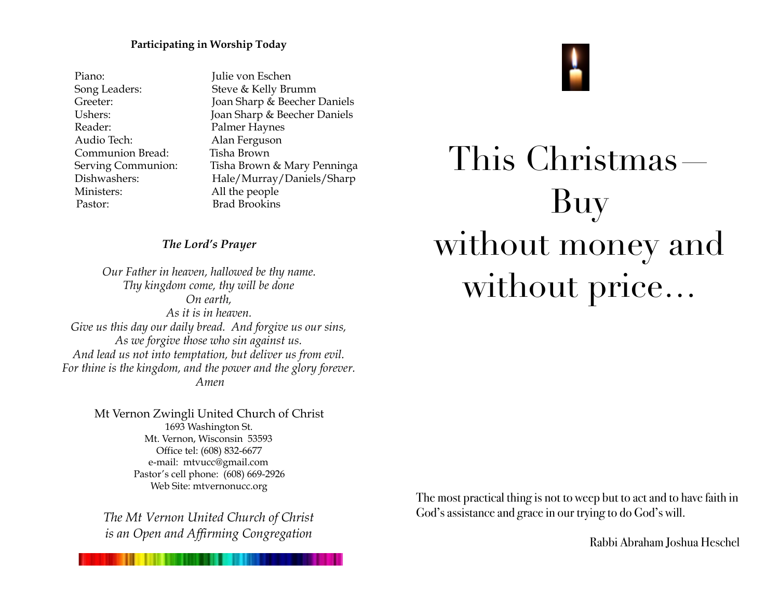#### **Participating in Worship Today**

Piano: Julie von Eschen Reader: Palmer Haynes Audio Tech: Alan Ferguson Communion Bread: Tisha Brown Ministers: All the people Pastor: Brad Brookins

Song Leaders: Steve & Kelly Brumm Greeter: Joan Sharp & Beecher Daniels Ushers: Joan Sharp & Beecher Daniels Serving Communion: Tisha Brown & Mary Penninga Dishwashers: Hale/Murray/Daniels/Sharp

## *The Lord's Prayer*

*Our Father in heaven, hallowed be thy name. Thy kingdom come, thy will be done On earth, As it is in heaven. Give us this day our daily bread. And forgive us our sins, As we forgive those who sin against us. And lead us not into temptation, but deliver us from evil. For thine is the kingdom, and the power and the glory forever. Amen*

> Mt Vernon Zwingli United Church of Christ 1693 Washington St. Mt. Vernon, Wisconsin 53593 Office tel: (608) 832-6677 e-mail: mtvucc@gmail.com Pastor's cell phone: (608) 669-2926 Web Site: [mtvernonucc.org](http://mtvernonucc.org)

*The Mt Vernon United Church of Christ is an Open and Affirming Congregation*



The most practical thing is not to weep but to act and to have faith in God's assistance and grace in our trying to do God's will.

Rabbi Abraham Joshua Heschel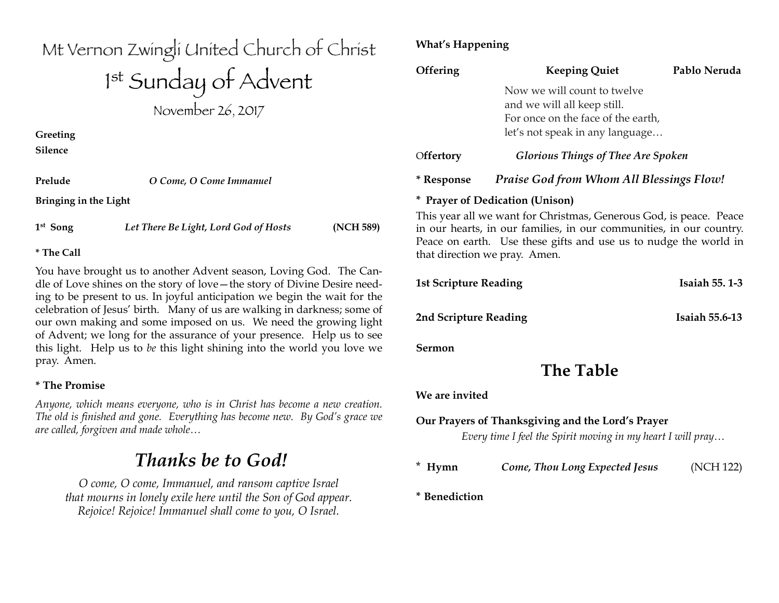# Mt Vernon Zwingli United Church of Christ 1 st Sunday of Advent November 26, 2017

**Greeting Silence**

| Prelude               | O Come, O Come Immanuel |  |
|-----------------------|-------------------------|--|
| Bringing in the Light |                         |  |

**1st Song** *Let There Be Light, Lord God of Hosts* **(NCH 589)** 

### **\* The Call**

You have brought us to another Advent season, Loving God. The Candle of Love shines on the story of love—the story of Divine Desire needing to be present to us. In joyful anticipation we begin the wait for the celebration of Jesus' birth. Many of us are walking in darkness; some of our own making and some imposed on us. We need the growing light of Advent; we long for the assurance of your presence. Help us to see this light. Help us to *be* this light shining into the world you love we pray. Amen.

### **\* The Promise**

*Anyone, which means everyone, who is in Christ has become a new creation. The old is finished and gone. Everything has become new. By God's grace we are called, forgiven and made whole…*

# *Thanks be to God!*

*O come, O come, Immanuel, and ransom captive Israel that mourns in lonely exile here until the Son of God appear. Rejoice! Rejoice! Immanuel shall come to you, O Israel.*

# **What's Happening**

| Offering                     | <b>Keeping Quiet</b>                                                                                                                                                                                                                           | Pablo Neruda          |
|------------------------------|------------------------------------------------------------------------------------------------------------------------------------------------------------------------------------------------------------------------------------------------|-----------------------|
|                              | Now we will count to twelve<br>and we will all keep still.<br>For once on the face of the earth,<br>let's not speak in any language                                                                                                            |                       |
| Offertory                    | <b>Glorious Things of Thee Are Spoken</b>                                                                                                                                                                                                      |                       |
| * Response                   | <b>Praise God from Whom All Blessings Flow!</b>                                                                                                                                                                                                |                       |
|                              | * Prayer of Dedication (Unison)                                                                                                                                                                                                                |                       |
|                              | This year all we want for Christmas, Generous God, is peace. Peace<br>in our hearts, in our families, in our communities, in our country.<br>Peace on earth. Use these gifts and use us to nudge the world in<br>that direction we pray. Amen. |                       |
| <b>1st Scripture Reading</b> |                                                                                                                                                                                                                                                | <b>Isaiah 55.1-3</b>  |
| 2nd Scripture Reading        |                                                                                                                                                                                                                                                | <b>Isaiah 55.6-13</b> |
| Sermon                       |                                                                                                                                                                                                                                                |                       |
|                              | <b>The Table</b>                                                                                                                                                                                                                               |                       |
| We are invited               |                                                                                                                                                                                                                                                |                       |
|                              | Our Prayers of Thanksgiving and the Lord's Prayer<br>Every time I feel the Spirit moving in my heart I will pray                                                                                                                               |                       |
| $*$ Hymn                     | Come, Thou Long Expected Jesus                                                                                                                                                                                                                 | (NCH 122)             |
| * Benediction                |                                                                                                                                                                                                                                                |                       |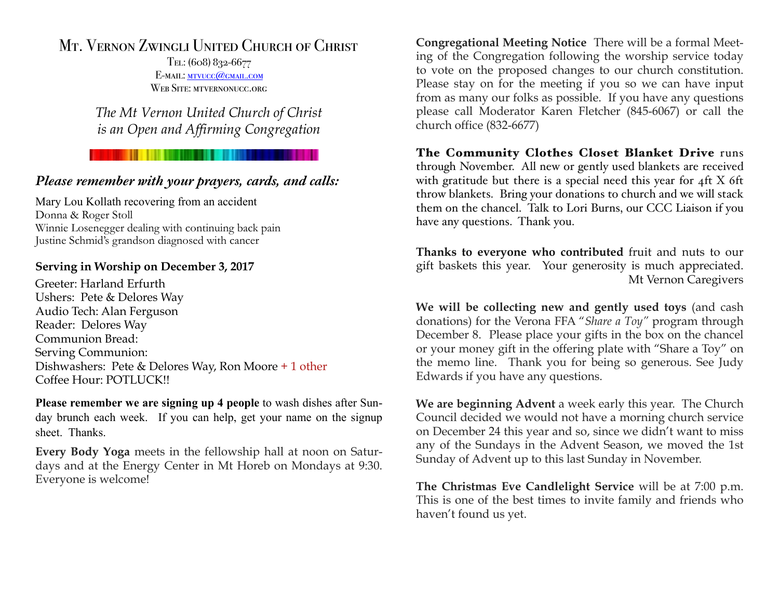# Mt. Vernon Zwingli United Church of Christ

Tel: (608) 832-6677 E-MAIL: MTVUCC@GMAIL.COM WEB SITE: MTVERNONUCC.ORG

*The Mt Vernon United Church of Christ is an Open and Affirming Congregation*

# *Please remember with your prayers, cards, and calls:*

Mary Lou Kollath recovering from an accident Donna & Roger Stoll Winnie Losenegger dealing with continuing back pain Justine Schmid's grandson diagnosed with cancer

## **Serving in Worship on December 3, 2017**

Greeter: Harland Erfurth Ushers: Pete & Delores Way Audio Tech: Alan Ferguson Reader: Delores Way Communion Bread: Serving Communion: Dishwashers: Pete & Delores Way, Ron Moore + 1 other Coffee Hour: POTLUCK!!

**Please remember we are signing up 4 people** to wash dishes after Sunday brunch each week. If you can help, get your name on the signup sheet. Thanks.

**Every Body Yoga** meets in the fellowship hall at noon on Saturdays and at the Energy Center in Mt Horeb on Mondays at 9:30. Everyone is welcome!

**Congregational Meeting Notice** There will be a formal Meeting of the Congregation following the worship service today to vote on the proposed changes to our church constitution. Please stay on for the meeting if you so we can have input from as many our folks as possible. If you have any questions please call Moderator Karen Fletcher (845-6067) or call the church office (832-6677)

The Community Clothes Closet Blanket Drive runs through November. All new or gently used blankets are received with gratitude but there is a special need this year for 4ft X 6ft throw blankets. Bring your donations to church and we will stack them on the chancel. Talk to Lori Burns, our CCC Liaison if you have any questions. Thank you.

**Thanks to everyone who contributed** fruit and nuts to our gift baskets this year. Your generosity is much appreciated. Mt Vernon Caregivers

**We will be collecting new and gently used toys** (and cash donations) for the Verona FFA "*Share a Toy"* program through December 8. Please place your gifts in the box on the chancel or your money gift in the offering plate with "Share a Toy" on the memo line. Thank you for being so generous. See Judy Edwards if you have any questions.

**We are beginning Advent** a week early this year. The Church Council decided we would not have a morning church service on December 24 this year and so, since we didn't want to miss any of the Sundays in the Advent Season, we moved the 1st Sunday of Advent up to this last Sunday in November.

**The Christmas Eve Candlelight Service** will be at 7:00 p.m. This is one of the best times to invite family and friends who haven't found us yet.